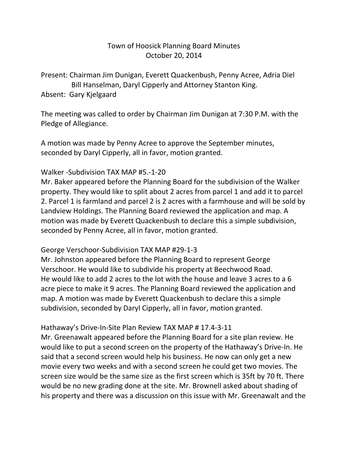### Town of Hoosick Planning Board Minutes October 20, 2014

Present: Chairman Jim Dunigan, Everett Quackenbush, Penny Acree, Adria Diel Bill Hanselman, Daryl Cipperly and Attorney Stanton King. Absent: Gary Kjelgaard

The meeting was called to order by Chairman Jim Dunigan at 7:30 P.M. with the Pledge of Allegiance.

A motion was made by Penny Acree to approve the September minutes, seconded by Daryl Cipperly, all in favor, motion granted.

#### Walker -Subdivision TAX MAP #5.-1-20

Mr. Baker appeared before the Planning Board for the subdivision of the Walker property. They would like to split about 2 acres from parcel 1 and add it to parcel 2. Parcel 1 is farmland and parcel 2 is 2 acres with a farmhouse and will be sold by Landview Holdings. The Planning Board reviewed the application and map. A motion was made by Everett Quackenbush to declare this a simple subdivision, seconded by Penny Acree, all in favor, motion granted.

#### George Verschoor-Subdivision TAX MAP #29-1-3

Mr. Johnston appeared before the Planning Board to represent George Verschoor. He would like to subdivide his property at Beechwood Road. He would like to add 2 acres to the lot with the house and leave 3 acres to a 6 acre piece to make it 9 acres. The Planning Board reviewed the application and map. A motion was made by Everett Quackenbush to declare this a simple subdivision, seconded by Daryl Cipperly, all in favor, motion granted.

#### Hathaway's Drive-In-Site Plan Review TAX MAP # 17.4-3-11

Mr. Greenawalt appeared before the Planning Board for a site plan review. He would like to put a second screen on the property of the Hathaway's Drive-In. He said that a second screen would help his business. He now can only get a new movie every two weeks and with a second screen he could get two movies. The screen size would be the same size as the first screen which is 35ft by 70 ft. There would be no new grading done at the site. Mr. Brownell asked about shading of his property and there was a discussion on this issue with Mr. Greenawalt and the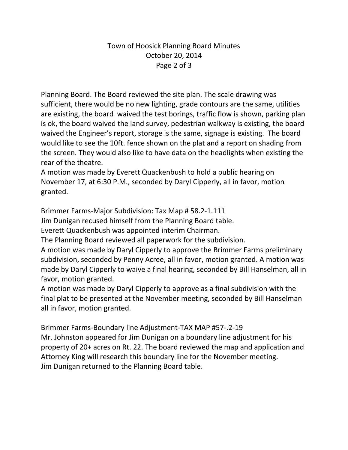# Town of Hoosick Planning Board Minutes October 20, 2014 Page 2 of 3

Planning Board. The Board reviewed the site plan. The scale drawing was sufficient, there would be no new lighting, grade contours are the same, utilities are existing, the board waived the test borings, traffic flow is shown, parking plan is ok, the board waived the land survey, pedestrian walkway is existing, the board waived the Engineer's report, storage is the same, signage is existing. The board would like to see the 10ft. fence shown on the plat and a report on shading from the screen. They would also like to have data on the headlights when existing the rear of the theatre.

A motion was made by Everett Quackenbush to hold a public hearing on November 17, at 6:30 P.M., seconded by Daryl Cipperly, all in favor, motion granted.

Brimmer Farms-Major Subdivision: Tax Map # 58.2-1.111

Jim Dunigan recused himself from the Planning Board table.

Everett Quackenbush was appointed interim Chairman.

The Planning Board reviewed all paperwork for the subdivision.

A motion was made by Daryl Cipperly to approve the Brimmer Farms preliminary subdivision, seconded by Penny Acree, all in favor, motion granted. A motion was made by Daryl Cipperly to waive a final hearing, seconded by Bill Hanselman, all in favor, motion granted.

A motion was made by Daryl Cipperly to approve as a final subdivision with the final plat to be presented at the November meeting, seconded by Bill Hanselman all in favor, motion granted.

Brimmer Farms-Boundary line Adjustment-TAX MAP #57-.2-19 Mr. Johnston appeared for Jim Dunigan on a boundary line adjustment for his property of 20+ acres on Rt. 22. The board reviewed the map and application and Attorney King will research this boundary line for the November meeting. Jim Dunigan returned to the Planning Board table.